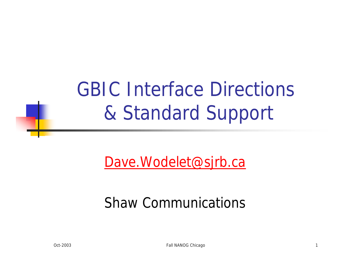GBIC Interface Directions & Standard Support

Dave.Wodelet@sjrb.ca

#### Shaw Communications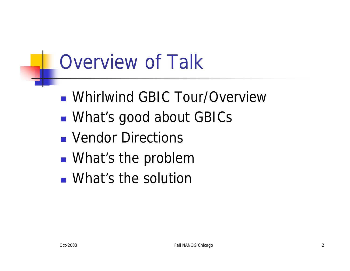## Overview of Talk

- **N** Whirlwind GBIC Tour/Overview
- **NAT's good about GBICS**
- **N** Vendor Directions
- **N** What's the problem
- **N** What's the solution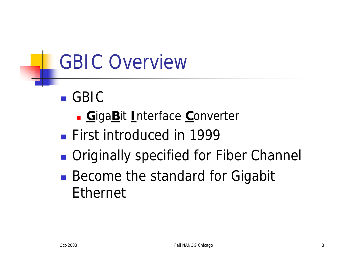- <sup>n</sup> GBIC
	- <sup>n</sup> **G**iga**B**it **I**nterface **C**onverter
- **First introduced in 1999**
- **n** Originally specified for Fiber Channel
- **Become the standard for Gigabit** Ethernet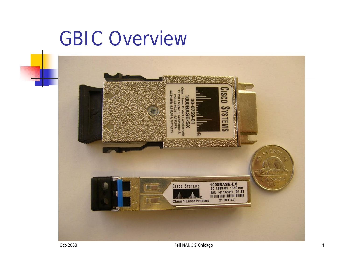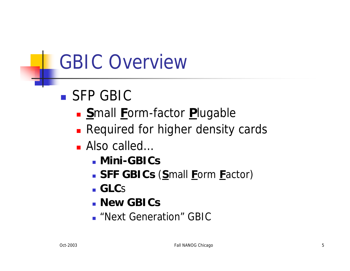- SFP GBIC
	- **n** Small Form-factor Plugable
	- **Required for higher density cards**
	- Also called…
		- **n** Mini-GBICs
		- <sup>n</sup> **SFF GBICs** (**S**mall **F**orm **F**actor)
		- <sup>n</sup> **GLC**s
		- <sup>n</sup> **New GBICs**
		- **n** "Next Generation" GBIC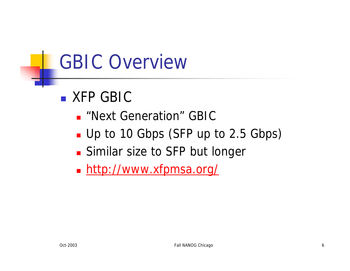- **N XFP GBIC** 
	- **n** "Next Generation" GBIC
	- Up to 10 Gbps (SFP up to 2.5 Gbps)
	- **Similar size to SFP but longer**
	- http://www.xfpmsa.org/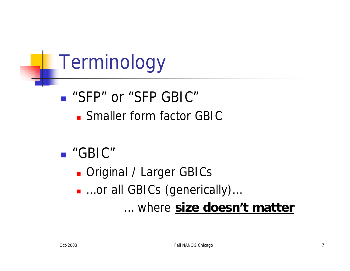Terminology

**n** "SFP" or "SFP GBIC" **n** Smaller form factor GBIC

#### <sup>n</sup> "GBIC"

**n** Original / Larger GBICs ■ …or all GBICs (generically)... … where **size doesn't matter**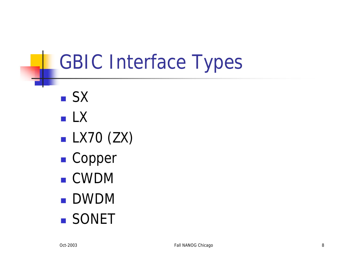- <sup>n</sup> SX
- <sup>n</sup> LX
- $\blacksquare$  LX70 (ZX)
- Copper
- <sup>n</sup> CWDM
- <sup>n</sup> DWDM
- **n** SONET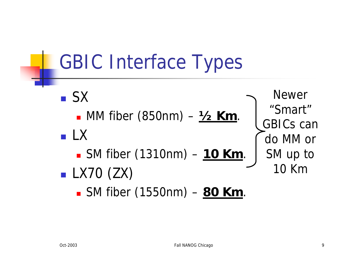<sup>n</sup> SX <sup>n</sup> MM fiber (850nm) – **½ Km**. <sup>n</sup> LX <sup>n</sup> SM fiber (1310nm) – **10 Km**.  $\blacksquare$  LX70 (ZX) <sup>n</sup> SM fiber (1550nm) – **80 Km**. Newer "Smart" GBICs can do MM or SM up to 10 Km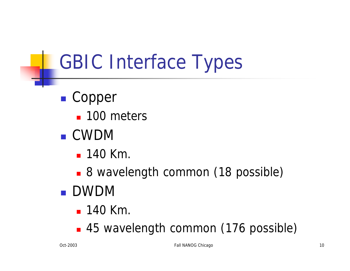- Copper
	- $\blacksquare$  100 meters
- <sup>n</sup> CWDM
	- $-140$  Km.
	- 8 wavelength common (18 possible)
- <sup>n</sup> DWDM
	- $-140$  Km.
	- 45 wavelength common (176 possible)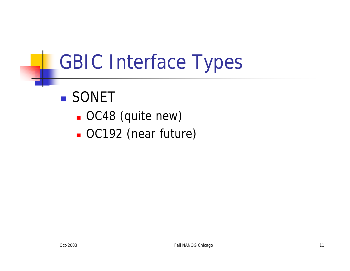#### **n** SONET

- **OC48** (quite new)
- **OC192** (near future)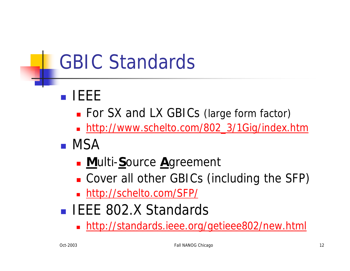# GBIC Standards

- <sup>n</sup> IEEE
	- For SX and LX GBICs (large form factor)
	- nttp://www.schelto.com/802\_3/1Gig/index.htm
- <sup>n</sup> MSA
	- **n M**ulti-Source Agreement
	- **n** Cover all other GBICs (including the SFP)
	- nttp://schelto.com/SFP/
- **EXECUTE:** 802.X Standards
	- nttp://standards.ieee.org/getieee802/new.html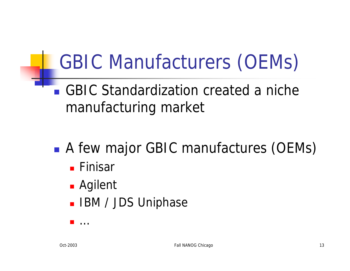# GBIC Manufacturers (OEMs)

■ GBIC Standardization created a niche manufacturing market

- A few major GBIC manufactures (OEMs)
	- **n** Finisar
	- **n** Agilent

<sup>n</sup> …

**- IBM / JDS Uniphase**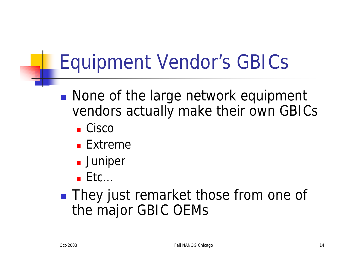# Equipment Vendor's GBICs

- None of the large network equipment vendors actually make their own GBICs
	- $Cisco$
	- $E$ Fxtreme
	- **Juniper**
	- $E$  Etc...
- **n** They just remarket those from one of the major GBIC OEMs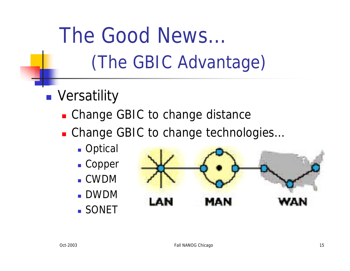- **n** Versatility
	- Change GBIC to change distance
	- Change GBIC to change technologies...
		- **n** Optical
		- Copper
		- <sup>n</sup> CWDM
		- <sup>n</sup> DWDM
		- **SONET**

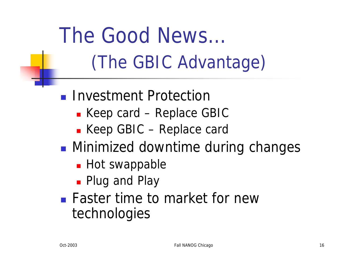- **n** Investment Protection
	- $\blacksquare$  Keep card Replace GBIC
	- Keep GBIC Replace card
- **n** Minimized downtime during changes
	- $\blacksquare$  Hot swappable
	- **Plug and Play**
- **Faster time to market for new** technologies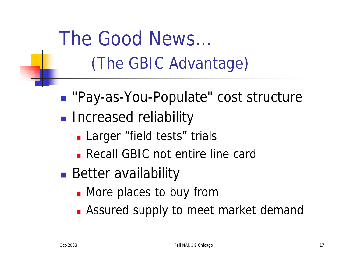■ "Pay-as-You-Populate" cost structure

- **n** Increased reliability
	- **Larger** "field tests" trials
	- **Recall GBIC not entire line card**
- **Better availability** 
	- **n** More places to buy from
	- **Assured supply to meet market demand**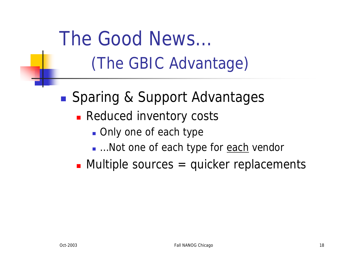■ Sparing & Support Advantages

- **Reduced inventory costs** 
	- Only one of each type
	- …Not one of each type for each vendor

 $\blacksquare$  Multiple sources = quicker replacements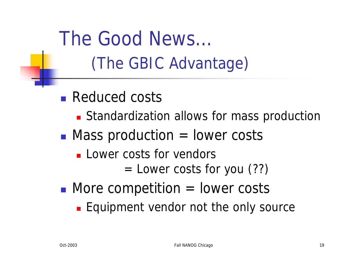- **Reduced costs** 
	- **Example ration allows for mass production**
- $\blacksquare$  Mass production  $=$  lower costs
	- **n** Lower costs for vendors
		- $=$  Lower costs for you  $(??)$
- $\blacksquare$  More competition  $=$  lower costs
	- **Equipment vendor not the only source**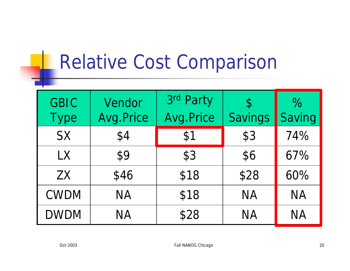### Relative Cost Comparison

| <b>GBIC</b><br><b>Type</b> | Vendor<br>Avg.Price | 3rd Party<br>Avg.Price | $\mathcal{P}$<br>Savings | $\%$<br>Saving |
|----------------------------|---------------------|------------------------|--------------------------|----------------|
| <b>SX</b>                  | \$4                 | \$1                    | \$3                      | 74%            |
| <b>LX</b>                  | \$9                 | \$3                    | \$6                      | 67%            |
| <b>ZX</b>                  | \$46                | \$18                   | \$28                     | 60%            |
| <b>CWDM</b>                | <b>NA</b>           | \$18                   | <b>NA</b>                | <b>NA</b>      |
| <b>DWDM</b>                | ΝA                  | \$28                   | ΝA                       | <b>NA</b>      |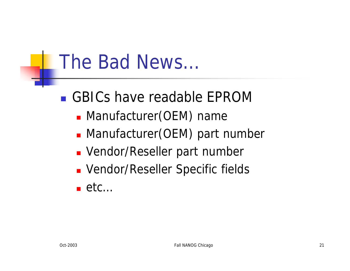### The Bad News…

<sup>n</sup> GBICs have readable EPROM

- **Manufacturer(OEM) name**
- **Manufacturer(OEM) part number**
- **N** Vendor/Reseller part number
- **Nandor/Reseller Specific fields**
- n etc $\dots$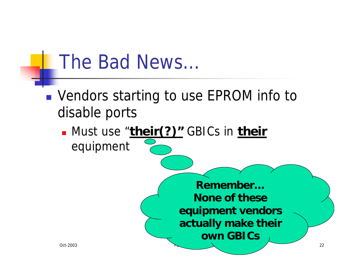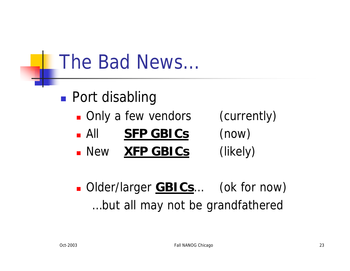### The Bad News…

- **n** Port disabling **n** Only a few vendors (currently) **All SFP GBICs** (now)
	- **New XFP GBICs** (likely)
- 

■ Older/larger **GBICs**… (ok for now) …but all may not be grandfathered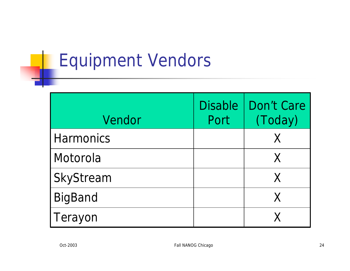#### Equipment Vendors

| Vendor           | <b>Disable</b><br>Port | Don't Care<br>(Today) |
|------------------|------------------------|-----------------------|
| <b>Harmonics</b> |                        | X                     |
| Motorola         |                        |                       |
| SkyStream        |                        | X                     |
| <b>BigBand</b>   |                        |                       |
| Terayon          |                        |                       |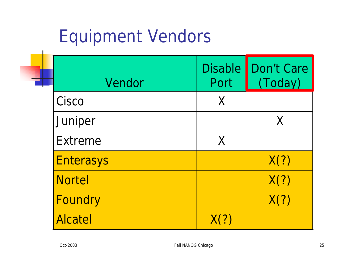#### Equipment Vendors

| Vendor           | <b>Disable</b><br>Port | Don't Care<br>(Today) |
|------------------|------------------------|-----------------------|
| Cisco            | X                      |                       |
| Juniper          |                        | X                     |
| Extreme          | $\chi$                 |                       |
| <b>Enterasys</b> |                        | X(?)                  |
| <b>Nortel</b>    |                        | X(?)                  |
| Foundry          |                        | X(?)                  |
| <b>Alcatel</b>   | X(?)                   |                       |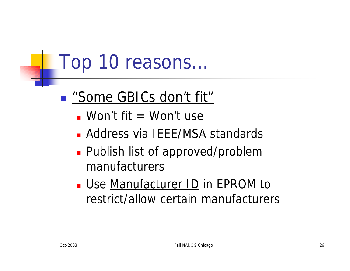#### ■ *"Some GBICs don't fit"*

- $\blacksquare$  Won't fit  $\blacksquare$  Won't use
- **Address via IEEE/MSA standards**
- **Publish list of approved/problem** manufacturers
- **Use Manufacturer ID in EPROM to** restrict/allow certain manufacturers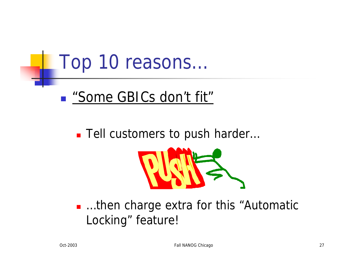#### ■ *"Some GBICs don't fit"*

#### ■ Tell customers to push harder...



■ …then charge extra for this "Automatic Locking" feature!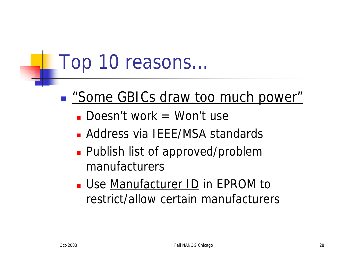#### <sup>n</sup> *"Some GBICs draw too much power"*

- **Doesn't work = Won't use**
- **Address via IEEE/MSA standards**
- **Publish list of approved/problem** manufacturers
- **Use Manufacturer ID in EPROM to** restrict/allow certain manufacturers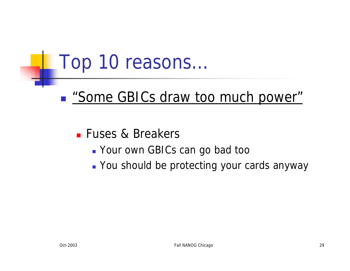■ *"Some GBICs draw too much power"* 

**Fuses & Breakers** 

- **Nour own GBICs can go bad too**
- **Nou should be protecting your cards anyway**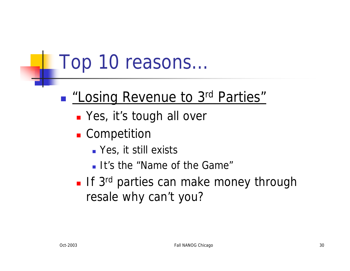#### ■ *"Losing Revenue to 3<sup>rd</sup> Parties"*

- **n** Yes, it's tough all over
- **n** Competition
	- **No. 7 Yes, it still exists**
	- **It's the "Name of the Game"**
- **If** 3<sup>rd</sup> parties can make money through resale why can't you?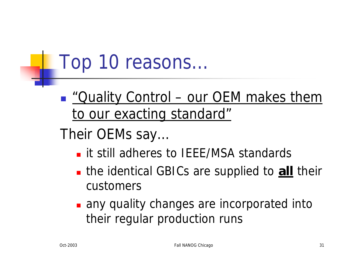- <sup>n</sup> *"Quality Control – our OEM makes them to our exacting standard"*
- Their OEMs say…
	- **n** it still adheres to IEEE/MSA standards
	- **n** the identical GBICs are supplied to **all** their customers
	- **n** any quality changes are incorporated into their regular production runs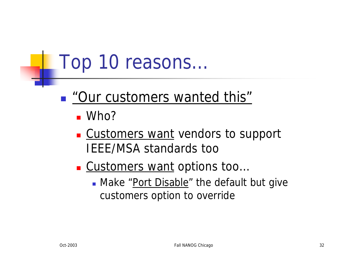#### ■ *"Our customers wanted this"*

- $\blacksquare$  Who?
- **Customers want vendors to support** IEEE/MSA standards too
- Customers want options too...
	- Make "Port Disable" the default but give customers option to override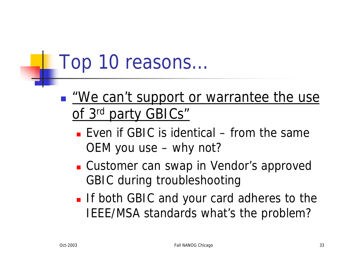- *"We can't support or warrantee the use of 3rd party GBICs"*
	- **E** Even if GBIC is identical from the same OEM you use – why not?
	- **E** Customer can swap in Vendor's approved GBIC during troubleshooting
	- **n** If both GBIC and your card adheres to the IEEE/MSA standards what's the problem?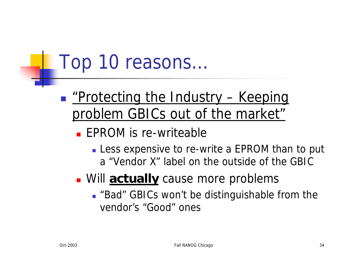#### <sup>n</sup> *"Protecting the Industry – Keeping problem GBICs out of the market"*

- $\blacksquare$  EPROM is re-writeable
	- **Less expensive to re-write a EPROM than to put** a "Vendor X" label on the outside of the GBIC

#### **Nill actually** cause more problems

■ "Bad" GBICs won't be distinguishable from the vendor's "Good" ones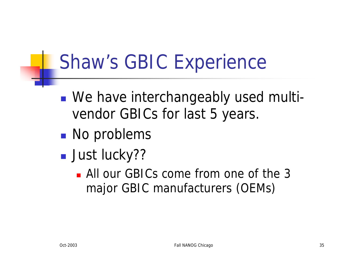# Shaw's GBIC Experience

- We have interchangeably used multivendor GBICs for last 5 years.
- **No problems**
- **n** Just lucky??
	- All our GBICs come from one of the 3 major GBIC manufacturers (OEMs)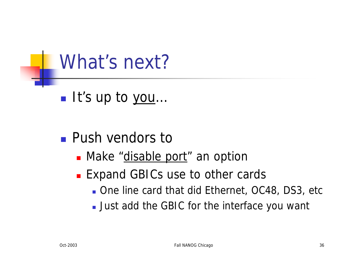

n It's up to you…

#### **n** Push vendors to

- Make "disable port" an option
- **Expand GBICs use to other cards** 
	- **n** One line card that did Ethernet, OC48, DS3, etc
	- **Just add the GBIC for the interface you want**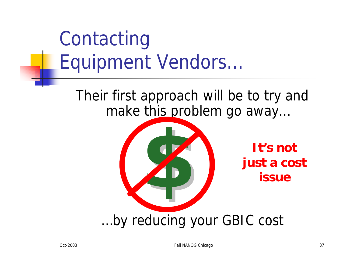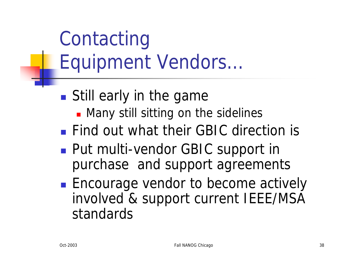Contacting Equipment Vendors…

- **still early in the game** 
	- **n** Many still sitting on the sidelines
- **n** Find out what their GBIC direction is
- Put multi-vendor GBIC support in purchase and support agreements
- **Encourage vendor to become actively** involved & support current IEEE/MSA standards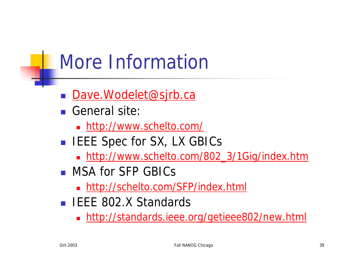# More Information

- Dave.Wodelet@sjrb.ca
- <sup>n</sup> General site:
	- nttp://www.schelto.com/
- **EXECUTE:** IEEE Spec for SX, LX GBICs
	- nttp://www.schelto.com/802\_3/1Gig/index.htm
- **NSA for SFP GBICs** 
	- nttp://schelto.com/SFP/index.html
- **FILELE 802.X Standards** 
	- nttp://standards.ieee.org/getieee802/new.html